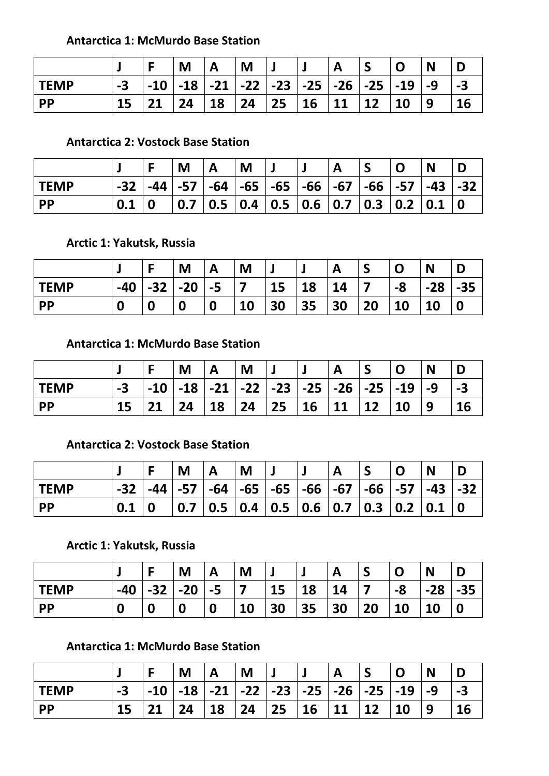### **Antarctica 1: McMurdo Base Station**

|             |    |       | M  | A  | M  |                                   |           |    |         |                              | N  |           |
|-------------|----|-------|----|----|----|-----------------------------------|-----------|----|---------|------------------------------|----|-----------|
| <b>TEMP</b> | -3 | $-10$ |    |    |    | -18   -21   -22   -23   -25   -26 |           |    | ∣ -25 ∣ | $\overline{\phantom{0}}$ -19 | -9 | -3        |
| <b>PP</b>   |    | 94    | 24 | 18 | 24 | 25                                | <b>16</b> | 11 |         | 10                           | 9  | <b>16</b> |

## **Antarctica 2: Vostock Base Station**

|             |       |     | M   |             | M           |                                 |                   |       |             |         | N              |  |
|-------------|-------|-----|-----|-------------|-------------|---------------------------------|-------------------|-------|-------------|---------|----------------|--|
| <b>TEMP</b> | $-32$ | -44 |     | $ -57 $ -64 |             | $\vert$ -65 $\vert$ -65 $\vert$ | $\mid$ -66 $\mid$ | $-67$ | $-66$ $-57$ |         | -43            |  |
| <b>PP</b>   | 0.1   |     | 0.7 | $\vert$ 0.5 | $\vert$ 0.4 |                                 | 0.5 0.6 0.7       |       |             | 0.3 0.2 | $\mathbf{0.1}$ |  |

**Arctic 1: Yakutsk, Russia**

|             |       |       | M     | A                | M                        |    |    |    |    |    | N     |       |
|-------------|-------|-------|-------|------------------|--------------------------|----|----|----|----|----|-------|-------|
| <b>TEMP</b> | $-40$ | $-32$ | $-20$ | $-5$             | $\overline{\phantom{a}}$ | 15 | 18 | 14 |    | -8 | $-28$ | $-35$ |
| <b>PP</b>   | 0     | 0     | 0     | $\boldsymbol{0}$ | 10                       | 30 | 35 | 30 | 20 | 10 | 10    |       |

### **Antarctica 1: McMurdo Base Station**

|             |    |                    | M  | Α                                       | M  |    |    | A         |    |                    | N  |    |
|-------------|----|--------------------|----|-----------------------------------------|----|----|----|-----------|----|--------------------|----|----|
| <b>TEMP</b> | -3 | $\overline{1}$ -10 |    | -18   -21   -22   -23   -25   -26   -25 |    |    |    |           |    | $\overline{1}$ -19 | -9 |    |
| PP          |    |                    | 24 | 18                                      | 24 | 25 | 16 | <b>11</b> | 12 | <b>10</b>          | 9  | 16 |

### **Antarctica 2: Vostock Base Station**

|             |       |             | M |                                                                                                                       | <b>M</b> |  |  | N |  |
|-------------|-------|-------------|---|-----------------------------------------------------------------------------------------------------------------------|----------|--|--|---|--|
| <b>TEMP</b> | $-32$ |             |   | -44   -57   -64   -65   -65   -66   -67   -66   -57   -43   -32                                                       |          |  |  |   |  |
| <b>PP</b>   |       | $\mathbf 0$ |   | $\vert$ 0.7 $\vert$ 0.5 $\vert$ 0.4 $\vert$ 0.5 $\vert$ 0.6 $\vert$ 0.7 $\vert$ 0.3 $\vert$ 0.2 $\vert$ 0.1 $\vert$ 0 |          |  |  |   |  |

## **Arctic 1: Yakutsk, Russia**

|             |       |       | M     | Α                | M  |    |    | A  |    |    | N     |           |
|-------------|-------|-------|-------|------------------|----|----|----|----|----|----|-------|-----------|
| <b>TEMP</b> | $-40$ | $-32$ | $-20$ | $-5$             |    | 15 | 18 | 14 |    | -8 | $-28$ | ЭE<br>-33 |
| <b>PP</b>   | 0     | Λ     | 0     | $\boldsymbol{0}$ | 10 | 30 | 35 | 30 | 20 | 10 | 10    |           |

# **Antarctica 1: McMurdo Base Station**

|           |  | M  |                                                          | M  |       | $\mathbf{A}$ |                   |            | N |           |
|-----------|--|----|----------------------------------------------------------|----|-------|--------------|-------------------|------------|---|-----------|
| l TEMP    |  |    | -10   -18   -21   -22   -23   -25   -26   -25   -19   -9 |    |       |              |                   |            |   |           |
| <b>PP</b> |  | 24 | $\overline{18}$                                          | 24 | 25 16 | 11           | $\blacksquare$ 12 | $\vert$ 10 | 9 | <b>16</b> |